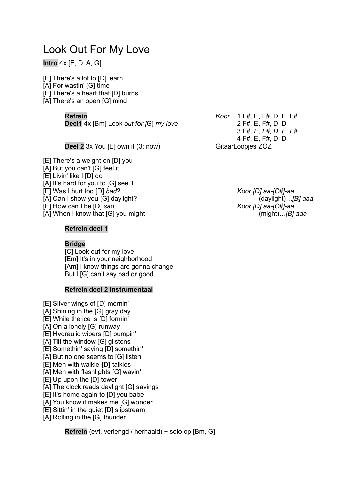# Look Out For My Love

# **Intro** 4x [E, D, A, G]

[E] There's a lot to [D] learn

[A] For wastin' [G] time

[E] There's a heart that [D] burns

[A] There's an open [G] mind

**Deel1** 4x [Bm] Look *out for [*G] *my love* 2 F#, E, F#, D, D

**Deel 2** 3x You [E] own it (3: now) GitaarLoopjes ZOZ

[E] There's a weight on [D] you

[A] But you can't [G] feel it

- [E] Livin' like I [D] do
- [A] It's hard for you to [G] see it
- [E] Was I hurt too [D] *bad*? *Koor [D] aa-[C#]-aa..*
- [A] Can I show you [G] daylight? (daylight)*…[B] aaa*

[E] How can I be [D] *sad Koor [D] aa-[C#]-aa..*

[A] When I know that [G] you might (might)*…[B] aaa*

## **Refrein deel 1**

## **Bridge**

[C] Look out for my love [Em] It's in your neighborhood [Am] I know things are gonna change But I [G] can't say bad or good

#### **Refrein deel 2 instrumentaal**

- [E] Silver wings of [D] mornin'
- [A] Shining in the [G] gray day
- [E] While the ice is [D] formin'
- [A] On a lonely [G] runway
- [E] Hydraulic wipers [D] pumpin'
- [A] Till the window [G] glistens
- [E] Somethin' saying [D] somethin'
- [A] But no one seems to [G] listen
- [E] Men with walkie-[D]-talkies
- [A] Men with flashlights [G] wavin'
- [E] Up upon the [D] tower
- [A] The clock reads daylight [G] savings
- [E] It's home again to [D] you babe
- [A] You know it makes me [G] wonder
- [E] Sittin' in the quiet [D] slipstream
- [A] Rolling in the [G] thunder

**Refrein** (evt. verlengd / herhaald) + solo op [Bm, G]

**Refrein** *Koor* 1 F#, E, F#, D, E, F# 3 F#, *E, F#, D, E, F#* 4 F#, E, F#, D, D